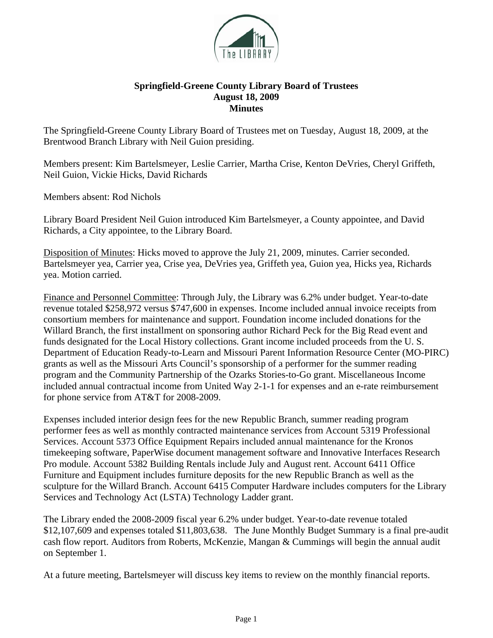

## **Springfield-Greene County Library Board of Trustees August 18, 2009 Minutes**

The Springfield-Greene County Library Board of Trustees met on Tuesday, August 18, 2009, at the Brentwood Branch Library with Neil Guion presiding.

Members present: Kim Bartelsmeyer, Leslie Carrier, Martha Crise, Kenton DeVries, Cheryl Griffeth, Neil Guion, Vickie Hicks, David Richards

Members absent: Rod Nichols

Library Board President Neil Guion introduced Kim Bartelsmeyer, a County appointee, and David Richards, a City appointee, to the Library Board.

Disposition of Minutes: Hicks moved to approve the July 21, 2009, minutes. Carrier seconded. Bartelsmeyer yea, Carrier yea, Crise yea, DeVries yea, Griffeth yea, Guion yea, Hicks yea, Richards yea. Motion carried.

Finance and Personnel Committee: Through July, the Library was 6.2% under budget. Year-to-date revenue totaled \$258,972 versus \$747,600 in expenses. Income included annual invoice receipts from consortium members for maintenance and support. Foundation income included donations for the Willard Branch, the first installment on sponsoring author Richard Peck for the Big Read event and funds designated for the Local History collections. Grant income included proceeds from the U. S. Department of Education Ready-to-Learn and Missouri Parent Information Resource Center (MO-PIRC) grants as well as the Missouri Arts Council's sponsorship of a performer for the summer reading program and the Community Partnership of the Ozarks Stories-to-Go grant. Miscellaneous Income included annual contractual income from United Way 2-1-1 for expenses and an e-rate reimbursement for phone service from AT&T for 2008-2009.

Expenses included interior design fees for the new Republic Branch, summer reading program performer fees as well as monthly contracted maintenance services from Account 5319 Professional Services. Account 5373 Office Equipment Repairs included annual maintenance for the Kronos timekeeping software, PaperWise document management software and Innovative Interfaces Research Pro module. Account 5382 Building Rentals include July and August rent. Account 6411 Office Furniture and Equipment includes furniture deposits for the new Republic Branch as well as the sculpture for the Willard Branch. Account 6415 Computer Hardware includes computers for the Library Services and Technology Act (LSTA) Technology Ladder grant.

The Library ended the 2008-2009 fiscal year 6.2% under budget. Year-to-date revenue totaled \$12,107,609 and expenses totaled \$11,803,638. The June Monthly Budget Summary is a final pre-audit cash flow report. Auditors from Roberts, McKenzie, Mangan & Cummings will begin the annual audit on September 1.

At a future meeting, Bartelsmeyer will discuss key items to review on the monthly financial reports.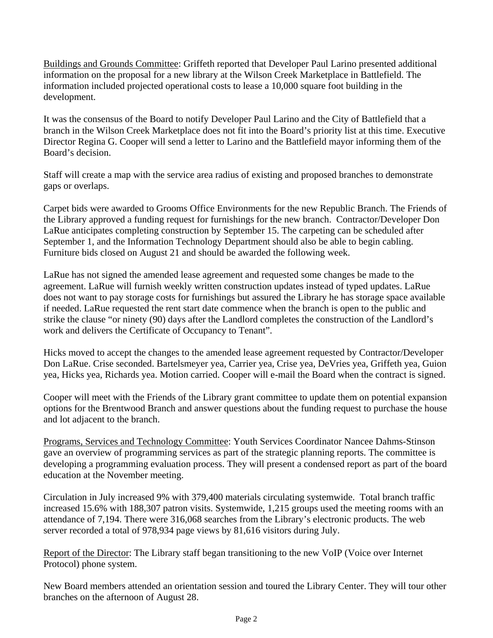Buildings and Grounds Committee: Griffeth reported that Developer Paul Larino presented additional information on the proposal for a new library at the Wilson Creek Marketplace in Battlefield. The information included projected operational costs to lease a 10,000 square foot building in the development.

It was the consensus of the Board to notify Developer Paul Larino and the City of Battlefield that a branch in the Wilson Creek Marketplace does not fit into the Board's priority list at this time. Executive Director Regina G. Cooper will send a letter to Larino and the Battlefield mayor informing them of the Board's decision.

Staff will create a map with the service area radius of existing and proposed branches to demonstrate gaps or overlaps.

Carpet bids were awarded to Grooms Office Environments for the new Republic Branch. The Friends of the Library approved a funding request for furnishings for the new branch. Contractor/Developer Don LaRue anticipates completing construction by September 15. The carpeting can be scheduled after September 1, and the Information Technology Department should also be able to begin cabling. Furniture bids closed on August 21 and should be awarded the following week.

LaRue has not signed the amended lease agreement and requested some changes be made to the agreement. LaRue will furnish weekly written construction updates instead of typed updates. LaRue does not want to pay storage costs for furnishings but assured the Library he has storage space available if needed. LaRue requested the rent start date commence when the branch is open to the public and strike the clause "or ninety (90) days after the Landlord completes the construction of the Landlord's work and delivers the Certificate of Occupancy to Tenant".

Hicks moved to accept the changes to the amended lease agreement requested by Contractor/Developer Don LaRue. Crise seconded. Bartelsmeyer yea, Carrier yea, Crise yea, DeVries yea, Griffeth yea, Guion yea, Hicks yea, Richards yea. Motion carried. Cooper will e-mail the Board when the contract is signed.

Cooper will meet with the Friends of the Library grant committee to update them on potential expansion options for the Brentwood Branch and answer questions about the funding request to purchase the house and lot adjacent to the branch.

Programs, Services and Technology Committee: Youth Services Coordinator Nancee Dahms-Stinson gave an overview of programming services as part of the strategic planning reports. The committee is developing a programming evaluation process. They will present a condensed report as part of the board education at the November meeting.

Circulation in July increased 9% with 379,400 materials circulating systemwide. Total branch traffic increased 15.6% with 188,307 patron visits. Systemwide, 1,215 groups used the meeting rooms with an attendance of 7,194. There were 316,068 searches from the Library's electronic products. The web server recorded a total of 978,934 page views by 81,616 visitors during July.

Report of the Director: The Library staff began transitioning to the new VoIP (Voice over Internet Protocol) phone system.

New Board members attended an orientation session and toured the Library Center. They will tour other branches on the afternoon of August 28.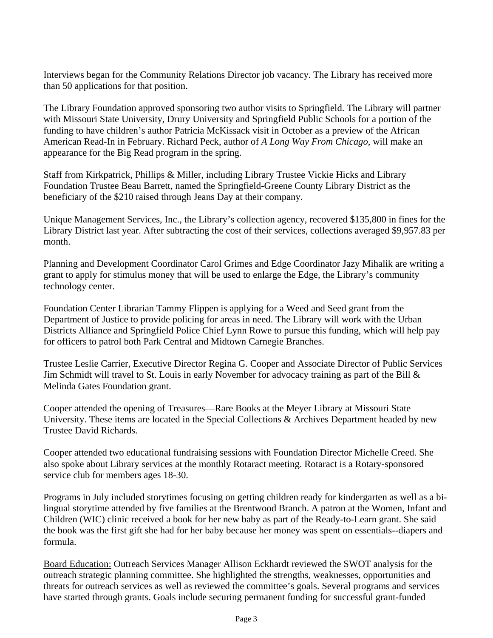Interviews began for the Community Relations Director job vacancy. The Library has received more than 50 applications for that position.

The Library Foundation approved sponsoring two author visits to Springfield. The Library will partner with Missouri State University, Drury University and Springfield Public Schools for a portion of the funding to have children's author Patricia McKissack visit in October as a preview of the African American Read-In in February. Richard Peck, author of *A Long Way From Chicago*, will make an appearance for the Big Read program in the spring.

Staff from Kirkpatrick, Phillips & Miller, including Library Trustee Vickie Hicks and Library Foundation Trustee Beau Barrett, named the Springfield-Greene County Library District as the beneficiary of the \$210 raised through Jeans Day at their company.

Unique Management Services, Inc., the Library's collection agency, recovered \$135,800 in fines for the Library District last year. After subtracting the cost of their services, collections averaged \$9,957.83 per month.

Planning and Development Coordinator Carol Grimes and Edge Coordinator Jazy Mihalik are writing a grant to apply for stimulus money that will be used to enlarge the Edge, the Library's community technology center.

Foundation Center Librarian Tammy Flippen is applying for a Weed and Seed grant from the Department of Justice to provide policing for areas in need. The Library will work with the Urban Districts Alliance and Springfield Police Chief Lynn Rowe to pursue this funding, which will help pay for officers to patrol both Park Central and Midtown Carnegie Branches.

Trustee Leslie Carrier, Executive Director Regina G. Cooper and Associate Director of Public Services Jim Schmidt will travel to St. Louis in early November for advocacy training as part of the Bill & Melinda Gates Foundation grant.

Cooper attended the opening of Treasures—Rare Books at the Meyer Library at Missouri State University. These items are located in the Special Collections & Archives Department headed by new Trustee David Richards.

Cooper attended two educational fundraising sessions with Foundation Director Michelle Creed. She also spoke about Library services at the monthly Rotaract meeting. Rotaract is a Rotary-sponsored service club for members ages 18-30.

Programs in July included storytimes focusing on getting children ready for kindergarten as well as a bilingual storytime attended by five families at the Brentwood Branch. A patron at the Women, Infant and Children (WIC) clinic received a book for her new baby as part of the Ready-to-Learn grant. She said the book was the first gift she had for her baby because her money was spent on essentials--diapers and formula.

Board Education: Outreach Services Manager Allison Eckhardt reviewed the SWOT analysis for the outreach strategic planning committee. She highlighted the strengths, weaknesses, opportunities and threats for outreach services as well as reviewed the committee's goals. Several programs and services have started through grants. Goals include securing permanent funding for successful grant-funded